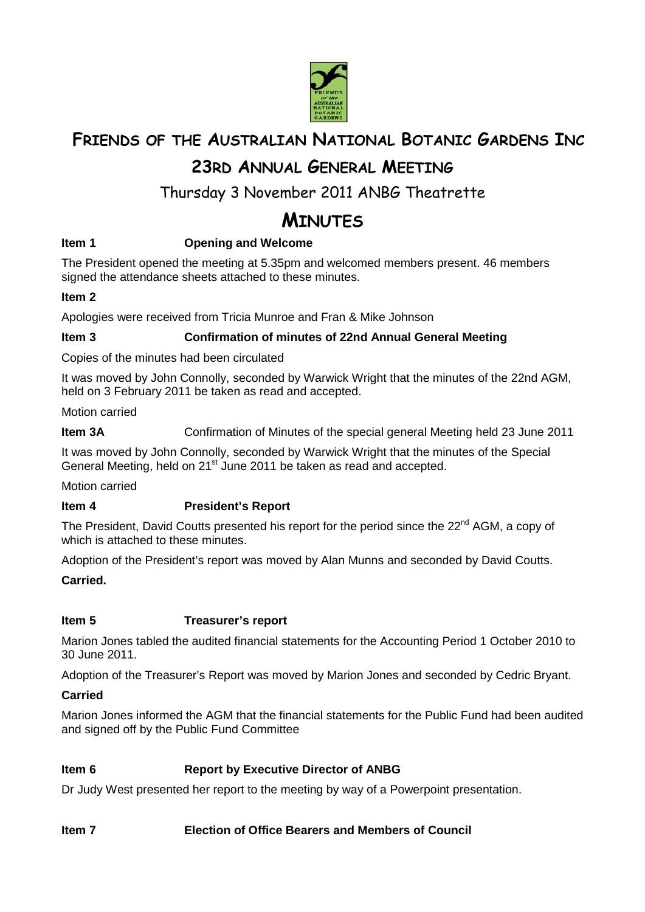

## **FRIENDS OF THE AUSTRALIAN NATIONAL BOTANIC GARDENS INC**

## **23RD ANNUAL GENERAL MEETING**

## Thursday 3 November 2011 ANBG Theatrette

# **MINUTES**

## **Item 1 Conserversity Conserversity Conservation American** Conservation 1

The President opened the meeting at 5.35pm and welcomed members present. 46 members signed the attendance sheets attached to these minutes.

## **Item 2**

Apologies were received from Tricia Munroe and Fran & Mike Johnson

### **Item 3 Confirmation of minutes of 22nd Annual General Meeting**

Copies of the minutes had been circulated

It was moved by John Connolly, seconded by Warwick Wright that the minutes of the 22nd AGM, held on 3 February 2011 be taken as read and accepted.

Motion carried

**Item 3A** Confirmation of Minutes of the special general Meeting held 23 June 2011

It was moved by John Connolly, seconded by Warwick Wright that the minutes of the Special General Meeting, held on 21<sup>st</sup> June 2011 be taken as read and accepted.

Motion carried

## **Item 4 President's Report**

The President, David Coutts presented his report for the period since the  $22^{nd}$  AGM, a copy of which is attached to these minutes.

Adoption of the President's report was moved by Alan Munns and seconded by David Coutts.

#### **Carried.**

#### **Item 5 Treasurer's report**

Marion Jones tabled the audited financial statements for the Accounting Period 1 October 2010 to 30 June 2011.

Adoption of the Treasurer's Report was moved by Marion Jones and seconded by Cedric Bryant.

#### **Carried**

Marion Jones informed the AGM that the financial statements for the Public Fund had been audited and signed off by the Public Fund Committee

#### **Item 6 Report by Executive Director of ANBG**

Dr Judy West presented her report to the meeting by way of a Powerpoint presentation.

#### **Item 7 Election of Office Bearers and Members of Council**